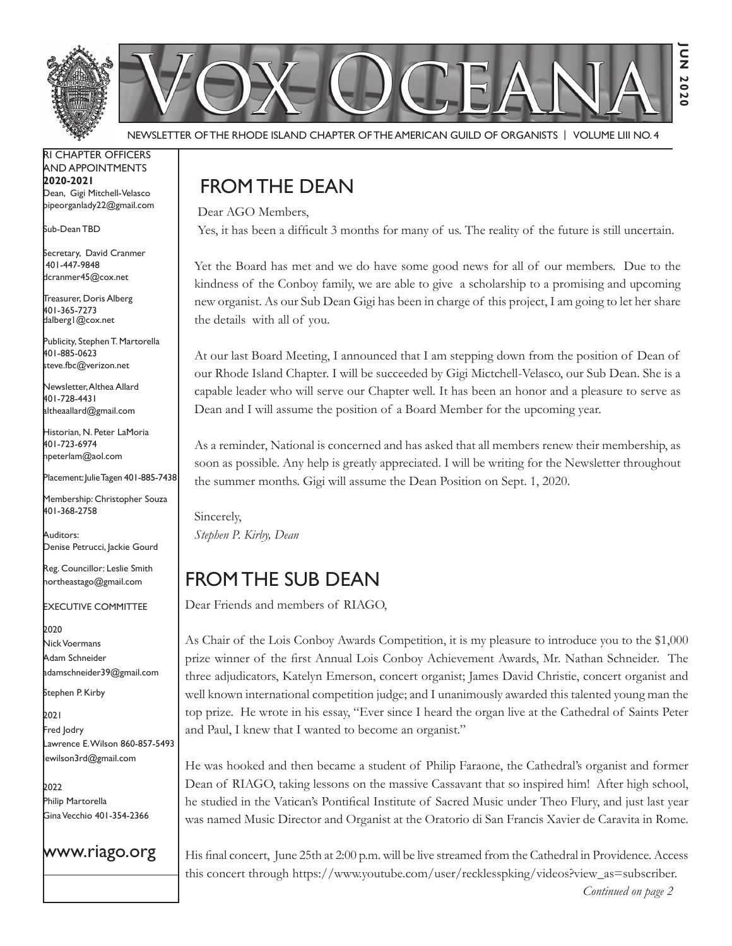

Newsletter of the Rhode Island Chapter of the American Guild of OrganistS | Volume LIII No. 4

RI Chapter Officers and Appointments **2020-2021** Dean, Gigi Mitchell-Velasco pipeorganlady22@gmail.com

Sub-Dean TBD

Secretary, David Cranmer 401-447-9848 dcranmer45@cox.net

Treasurer, Doris Alberg 401-365-7273 dalberg1@cox.net I

Publicity, Stephen T. Martorella 401-885-0623 steve.fbc@verizon.net

Newsletter, Althea Allard 401-728-4431 altheaallard@gmail.com

Historian, N. Peter LaMoria 401-723-6974 npeterlam@aol.com

Placement: Julie Tagen 401-885-7438

Membership: Christopher Souza 401-368-2758

Auditors: Denise Petrucci, Jackie Gourd

Reg. Councillor: Leslie Smith northeastago@gmail.com

Executive Committee

2020 Nick Voermans Adam Schneider adamschneider39@gmail.com

Stephen P. Kirby

2021 Fred Jodry Lawrence E. Wilson 860-857-5493 lewilson3rd@gmail.com

2022 Philip Martorella Gina Vecchio 401-354-2366

www.riago.org

## FROM THE DEAN

Dear AGO Members,

Yes, it has been a difficult 3 months for many of us. The reality of the future is still uncertain.

Yet the Board has met and we do have some good news for all of our members. Due to the kindness of the Conboy family, we are able to give a scholarship to a promising and upcoming new organist. As our Sub Dean Gigi has been in charge of this project, I am going to let her share the details with all of you.

At our last Board Meeting, I announced that I am stepping down from the position of Dean of our Rhode Island Chapter. I will be succeeded by Gigi Mictchell-Velasco, our Sub Dean. She is a capable leader who will serve our Chapter well. It has been an honor and a pleasure to serve as Dean and I will assume the position of a Board Member for the upcoming year.

As a reminder, National is concerned and has asked that all members renew their membership, as soon as possible. Any help is greatly appreciated. I will be writing for the Newsletter throughout the summer months. Gigi will assume the Dean Position on Sept. 1, 2020.

Sincerely, *Stephen P. Kirby, Dean* 

## From the Sub Dean

Dear Friends and members of RIAGO,

As Chair of the Lois Conboy Awards Competition, it is my pleasure to introduce you to the \$1,000 prize winner of the first Annual Lois Conboy Achievement Awards, Mr. Nathan Schneider. The three adjudicators, Katelyn Emerson, concert organist; James David Christie, concert organist and well known international competition judge; and I unanimously awarded this talented young man the top prize. He wrote in his essay, "Ever since I heard the organ live at the Cathedral of Saints Peter and Paul, I knew that I wanted to become an organist."

He was hooked and then became a student of Philip Faraone, the Cathedral's organist and former Dean of RIAGO, taking lessons on the massive Cassavant that so inspired him! After high school, he studied in the Vatican's Pontifical Institute of Sacred Music under Theo Flury, and just last year was named Music Director and Organist at the Oratorio di San Francis Xavier de Caravita in Rome.

His final concert, June 25th at 2:00 p.m. will be live streamed from the Cathedral in Providence. Access this concert through https://www.youtube.com/user/recklesspking/videos?view\_as=subscriber.

*Continued on page 2*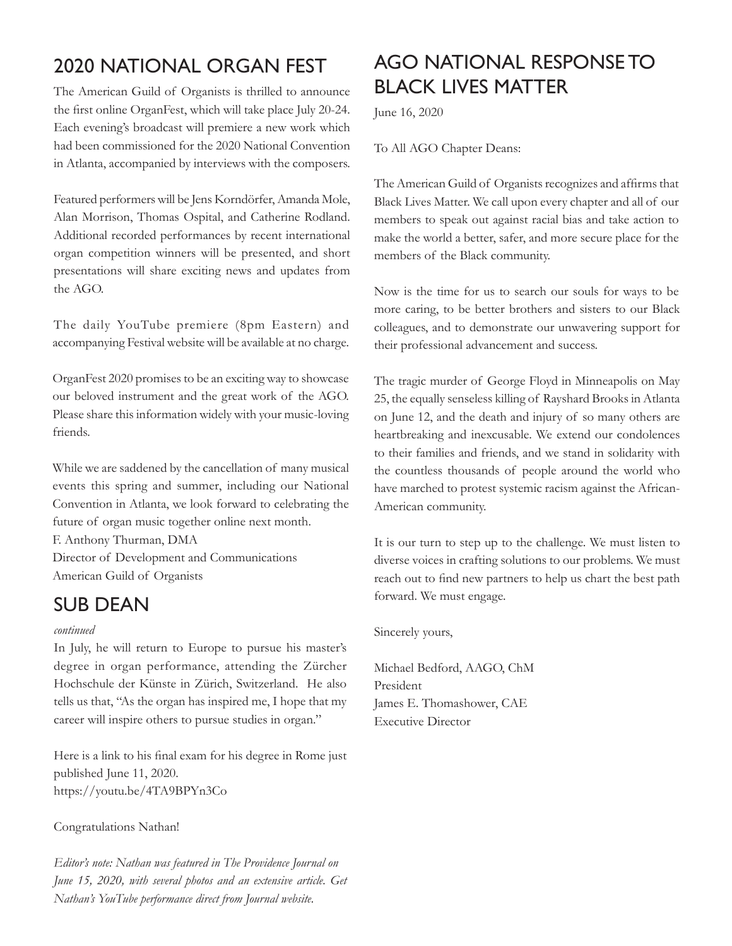# 2020 National Organ Fest

The American Guild of Organists is thrilled to announce the first online OrganFest, which will take place July 20-24. Each evening's broadcast will premiere a new work which had been commissioned for the 2020 National Convention in Atlanta, accompanied by interviews with the composers.

Featured performers will be Jens Korndörfer, Amanda Mole, Alan Morrison, Thomas Ospital, and Catherine Rodland. Additional recorded performances by recent international organ competition winners will be presented, and short presentations will share exciting news and updates from the AGO.

The daily YouTube premiere (8pm Eastern) and accompanying Festival website will be available at no charge.

OrganFest 2020 promises to be an exciting way to showcase our beloved instrument and the great work of the AGO. Please share this information widely with your music-loving friends.

While we are saddened by the cancellation of many musical events this spring and summer, including our National Convention in Atlanta, we look forward to celebrating the future of organ music together online next month.

F. Anthony Thurman, DMA Director of Development and Communications American Guild of Organists

### Sub Dean

#### *continued*

In July, he will return to Europe to pursue his master's degree in organ performance, attending the Zürcher Hochschule der Künste in Zürich, Switzerland. He also tells us that, "As the organ has inspired me, I hope that my career will inspire others to pursue studies in organ."

Here is a link to his final exam for his degree in Rome just published June 11, 2020. https://youtu.be/4TA9BPYn3Co

#### Congratulations Nathan!

*Editor's note: Nathan was featured in The Providence Journal on June 15, 2020, with several photos and an extensive article. Get Nathan's YouTube performance direct from Journal website.*

# AGO National Response to Black Lives Matter

June 16, 2020

To All AGO Chapter Deans:

The American Guild of Organists recognizes and affirms that Black Lives Matter. We call upon every chapter and all of our members to speak out against racial bias and take action to make the world a better, safer, and more secure place for the members of the Black community.

Now is the time for us to search our souls for ways to be more caring, to be better brothers and sisters to our Black colleagues, and to demonstrate our unwavering support for their professional advancement and success.

The tragic murder of George Floyd in Minneapolis on May 25, the equally senseless killing of Rayshard Brooks in Atlanta on June 12, and the death and injury of so many others are heartbreaking and inexcusable. We extend our condolences to their families and friends, and we stand in solidarity with the countless thousands of people around the world who have marched to protest systemic racism against the African-American community.

It is our turn to step up to the challenge. We must listen to diverse voices in crafting solutions to our problems. We must reach out to find new partners to help us chart the best path forward. We must engage.

Sincerely yours,

Michael Bedford, AAGO, ChM President James E. Thomashower, CAE Executive Director